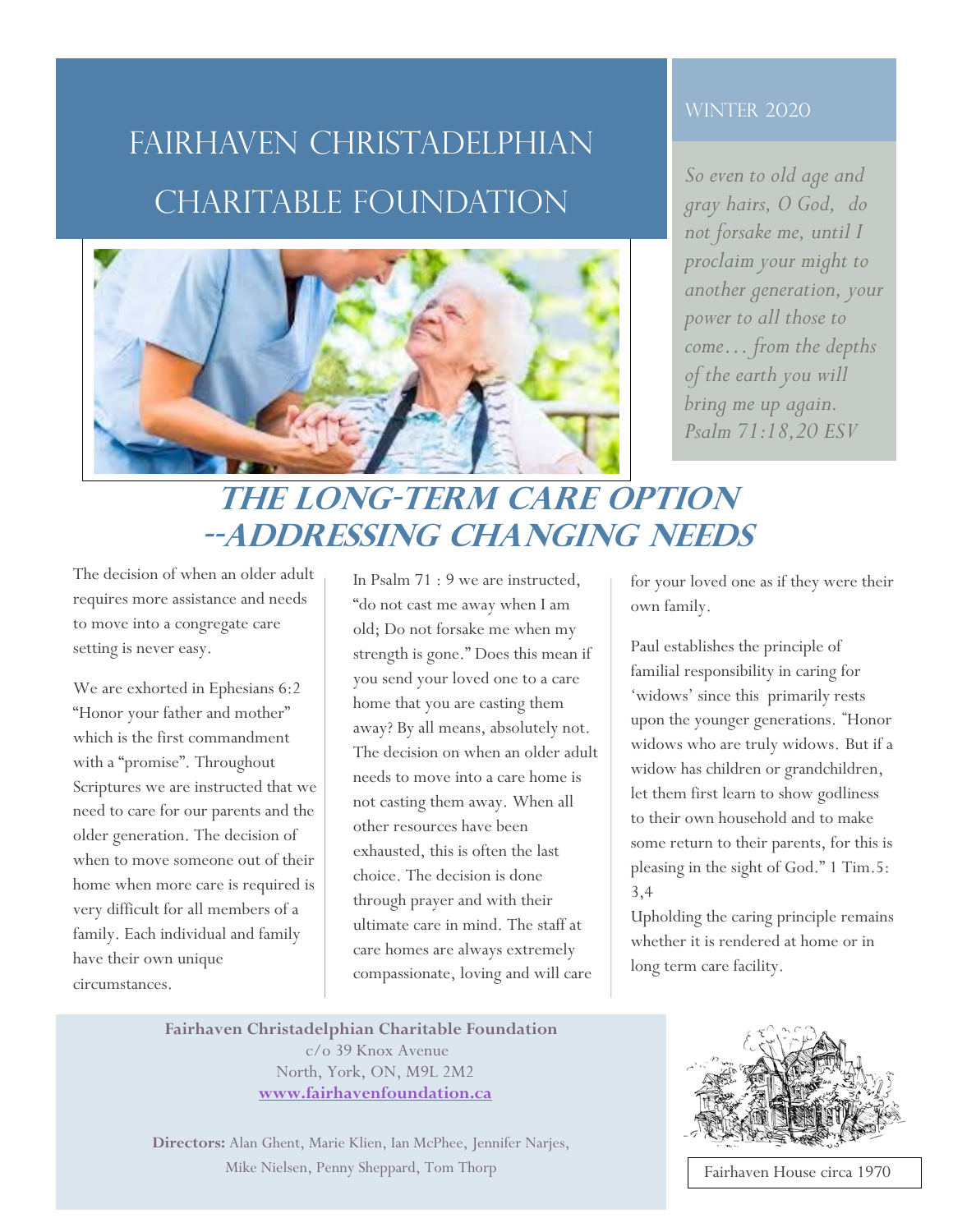## Fairhaven Christadelphian charitable Foundation



#### **WINTER 2020**

*So even to old age and gray hairs, O God, do not forsake me, until I proclaim your might to another generation, your power to all those to come… from the depths of the earth you will bring me up again. Psalm 71:18,20 ESV*

### **The Long-Term Care Option --addressing changing needs**

The decision of when an older adult requires more assistance and needs to move into a congregate care setting is never easy.

We are exhorted in Ephesians 6:2 "Honor your father and mother" which is the first commandment with a "promise". Throughout Scriptures we are instructed that we need to care for our parents and the older generation. The decision of when to move someone out of their home when more care is required is very difficult for all members of a family. Each individual and family have their own unique circumstances.

**M** needs to move into a care home is In Psalm 71 : 9 we are instructed, "do not cast me away when I am old; Do not forsake me when my strength is gone." Does this mean if you send your loved one to a care home that you are casting them away? By all means, absolutely not. The decision on when an older adult not casting them away. When all other resources have been exhausted, this is often the last choice. The decision is done through prayer and with their ultimate care in mind. The staff at care homes are always extremely compassionate, loving and will care

for your loved one as if they were their own family.

Paul establishes the principle of familial responsibility in caring for 'widows' since this primarily rests upon the younger generations. **"** Honor widows who are truly widows. But if a widow has children or grandchildren, let them first learn to show godliness to their own household and to make some return to their parents, for this is pleasing in the sight of God." 1 Tim.5: 3,4

Upholding the caring principle remains whether it is rendered at home or in long term care facility.

**Fairhaven Christadelphian Charitable Foundation**  c/o 39 Knox Avenue North, York, ON, M9L 2M2 **www.fairhavenfoundation.ca** 

**Directors:** Alan Ghent, Marie Klien, Ian McPhee, Jennifer Narjes, Mike Nielsen, Penny Sheppard, Tom Thorp



Fairhaven House circa 1970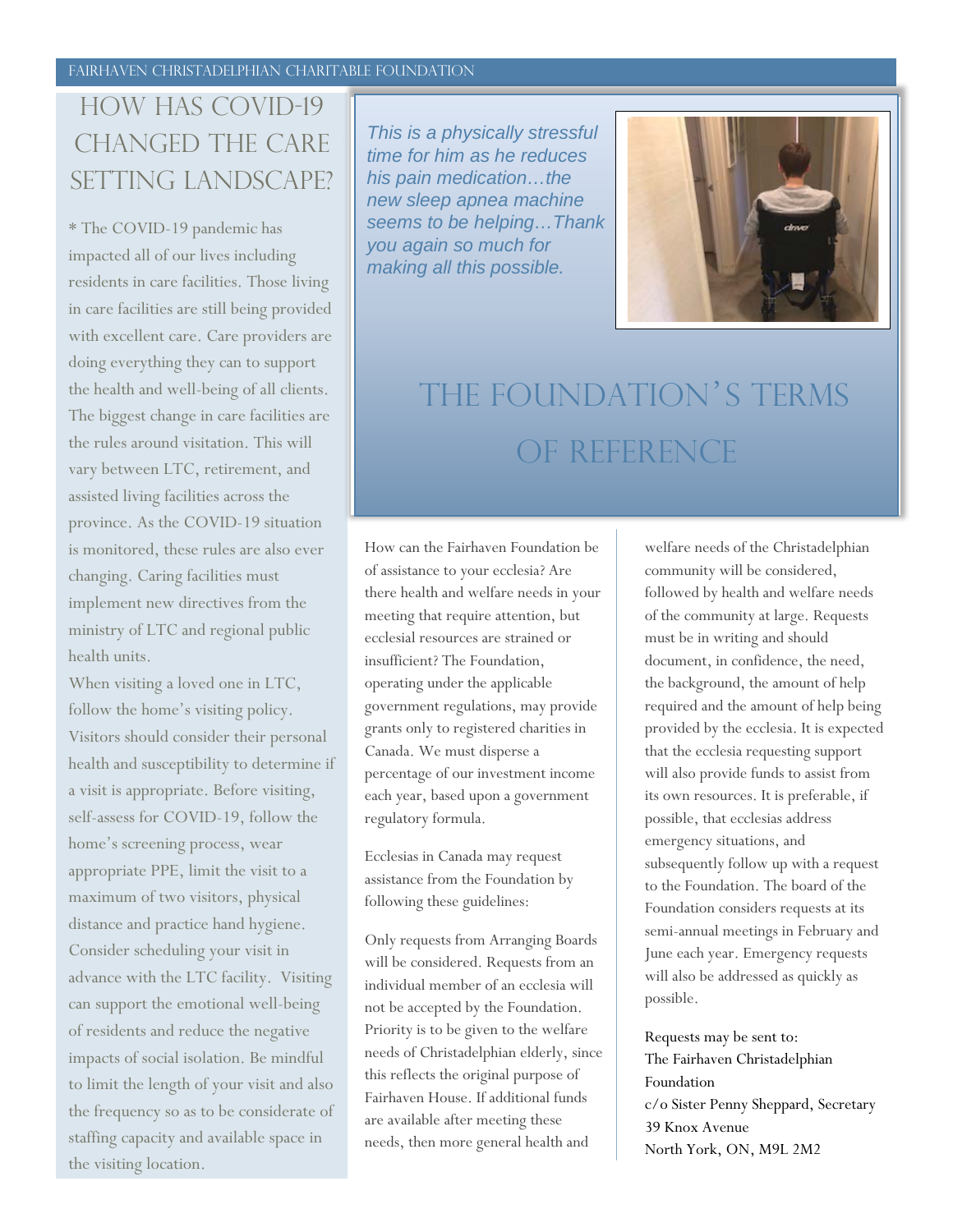### HOW HAS COVID-19 changed the care setting landscape?

\* The COVID-19 pandemic has impacted all of our lives including residents in care facilities. Those living in care facilities are still being provided with excellent care. Care providers are doing everything they can to support the health and well-being of all clients. The biggest change in care facilities are the rules around visitation. This will vary between LTC, retirement, and assisted living facilities across the province. As the COVID-19 situation is monitored, these rules are also ever changing. Caring facilities must implement new directives from the ministry of LTC and regional public health units.

When visiting a loved one in LTC, follow the home's visiting policy. Visitors should consider their personal health and susceptibility to determine if a visit is appropriate. Before visiting, self-assess for COVID-19, follow the home's screening process, wear appropriate PPE, limit the visit to a maximum of two visitors, physical distance and practice hand hygiene. Consider scheduling your visit in advance with the LTC facility. Visiting can support the emotional well-being of residents and reduce the negative impacts of social isolation. Be mindful to limit the length of your visit and also the frequency so as to be considerate of staffing capacity and available space in the visiting location.

*This is a physically stressful time for him as he reduces his pain medication…the new sleep apnea machine seems to be helping…Thank you again so much for making all this possible.* 



# The Foundation's terms OF reference

How can the Fairhaven Foundation be of assistance to your ecclesia? Are there health and welfare needs in your meeting that require attention, but ecclesial resources are strained or insufficient? The Foundation, operating under the applicable government regulations, may provide grants only to registered charities in Canada. We must disperse a percentage of our investment income each year, based upon a government regulatory formula.

Ecclesias in Canada may request assistance from the Foundation by following these guidelines:

Only requests from Arranging Boards will be considered. Requests from an individual member of an ecclesia will not be accepted by the Foundation. Priority is to be given to the welfare needs of Christadelphian elderly, since this reflects the original purpose of Fairhaven House. If additional funds are available after meeting these needs, then more general health and

welfare needs of the Christadelphian community will be considered, followed by health and welfare needs of the community at large. Requests must be in writing and should document, in confidence, the need, the background, the amount of help required and the amount of help being provided by the ecclesia. It is expected that the ecclesia requesting support will also provide funds to assist from its own resources. It is preferable, if possible, that ecclesias address emergency situations, and subsequently follow up with a request to the Foundation. The board of the Foundation considers requests at its semi-annual meetings in February and June each year. Emergency requests will also be addressed as quickly as possible.

Requests may be sent to: The Fairhaven Christadelphian Foundation c/o Sister Penny Sheppard, Secretary 39 Knox Avenue North York, ON, M9L 2M2